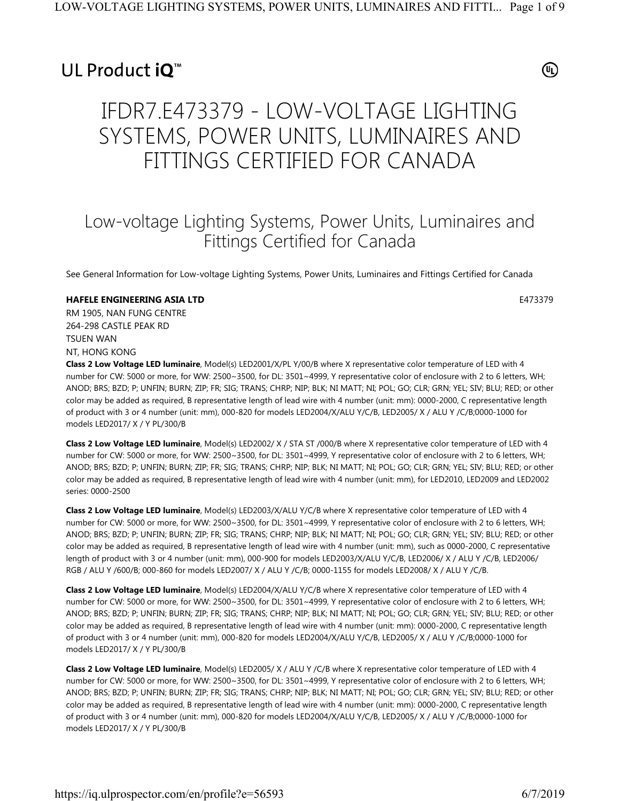## UL Product iQ<sup>™</sup>

⊕

# IFDR7.E473379 - LOW-VOLTAGE LIGHTING SYSTEMS, POWER UNITS, LUMINAIRES AND FITTINGS CERTIFIED FOR CANADA

### Low-voltage Lighting Systems, Power Units, Luminaires and Fittings Certified for Canada

See General Information for Low-voltage Lighting Systems, Power Units, Luminaires and Fittings Certified for Canada

### **HAFELE ENGINEERING ASIA LTD** E473379

RM 1905, NAN FUNG CENTRE 264-298 CASTLE PEAK RD TSUEN WAN NT, HONG KONG

**Class 2 Low Voltage LED luminaire**, Model(s) LED2001/X/PL Y/00/B where X representative color temperature of LED with 4 number for CW: 5000 or more, for WW: 2500~3500, for DL: 3501~4999, Y representative color of enclosure with 2 to 6 letters, WH; ANOD; BRS; BZD; P; UNFIN; BURN; ZIP; FR; SIG; TRANS; CHRP; NIP; BLK; NI MATT; NI; POL; GO; CLR; GRN; YEL; SIV; BLU; RED; or other color may be added as required, B representative length of lead wire with 4 number (unit: mm): 0000-2000, C representative length of product with 3 or 4 number (unit: mm), 000-820 for models LED2004/X/ALU Y/C/B, LED2005/ X / ALU Y /C/B;0000-1000 for models LED2017/ X / Y PL/300/B

**Class 2 Low Voltage LED luminaire**, Model(s) LED2002/ X / STA ST /000/B where X representative color temperature of LED with 4 number for CW: 5000 or more, for WW: 2500~3500, for DL: 3501~4999, Y representative color of enclosure with 2 to 6 letters, WH; ANOD; BRS; BZD; P; UNFIN; BURN; ZIP; FR; SIG; TRANS; CHRP; NIP; BLK; NI MATT; NI; POL; GO; CLR; GRN; YEL; SIV; BLU; RED; or other color may be added as required, B representative length of lead wire with 4 number (unit: mm), for LED2010, LED2009 and LED2002 series: 0000-2500

**Class 2 Low Voltage LED luminaire**, Model(s) LED2003/X/ALU Y/C/B where X representative color temperature of LED with 4 number for CW: 5000 or more, for WW: 2500~3500, for DL: 3501~4999, Y representative color of enclosure with 2 to 6 letters, WH; ANOD; BRS; BZD; P; UNFIN; BURN; ZIP; FR; SIG; TRANS; CHRP; NIP; BLK; NI MATT; NI; POL; GO; CLR; GRN; YEL; SIV; BLU; RED; or other color may be added as required, B representative length of lead wire with 4 number (unit: mm), such as 0000-2000, C representative length of product with 3 or 4 number (unit: mm), 000-900 for models LED2003/X/ALU Y/C/B, LED2006/ X / ALU Y /C/B, LED2006/ RGB / ALU Y /600/B; 000-860 for models LED2007/ X / ALU Y /C/B; 0000-1155 for models LED2008/ X / ALU Y /C/B.

**Class 2 Low Voltage LED luminaire**, Model(s) LED2004/X/ALU Y/C/B where X representative color temperature of LED with 4 number for CW: 5000 or more, for WW: 2500~3500, for DL: 3501~4999, Y representative color of enclosure with 2 to 6 letters, WH; ANOD; BRS; BZD; P; UNFIN; BURN; ZIP; FR; SIG; TRANS; CHRP; NIP; BLK; NI MATT; NI; POL; GO; CLR; GRN; YEL; SIV; BLU; RED; or other color may be added as required, B representative length of lead wire with 4 number (unit: mm): 0000-2000, C representative length of product with 3 or 4 number (unit: mm), 000-820 for models LED2004/X/ALU Y/C/B, LED2005/ X / ALU Y /C/B;0000-1000 for models LED2017/ X / Y PL/300/B

**Class 2 Low Voltage LED luminaire**, Model(s) LED2005/ X / ALU Y /C/B where X representative color temperature of LED with 4 number for CW: 5000 or more, for WW: 2500~3500, for DL: 3501~4999, Y representative color of enclosure with 2 to 6 letters, WH; ANOD; BRS; BZD; P; UNFIN; BURN; ZIP; FR; SIG; TRANS; CHRP; NIP; BLK; NI MATT; NI; POL; GO; CLR; GRN; YEL; SIV; BLU; RED; or other color may be added as required, B representative length of lead wire with 4 number (unit: mm): 0000-2000, C representative length of product with 3 or 4 number (unit: mm), 000-820 for models LED2004/X/ALU Y/C/B, LED2005/ X / ALU Y /C/B;0000-1000 for models LED2017/ X / Y PL/300/B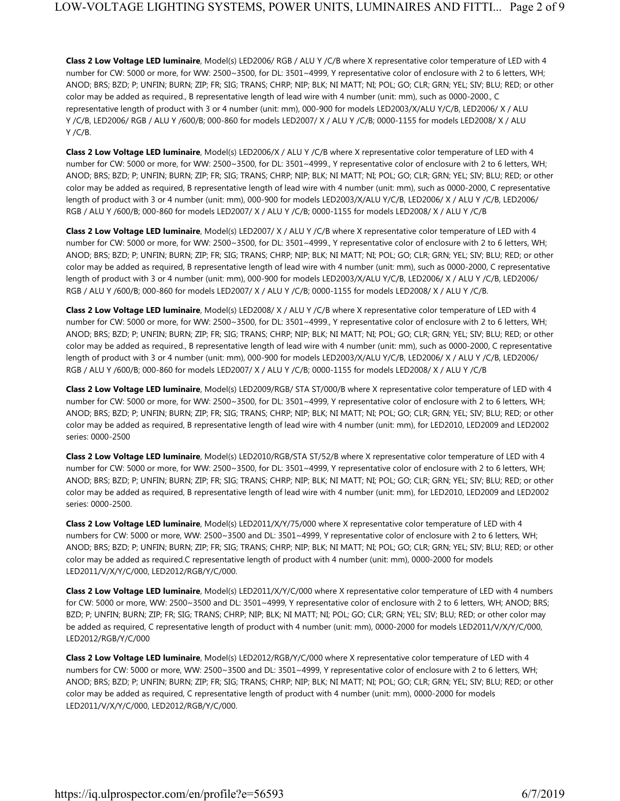**Class 2 Low Voltage LED luminaire**, Model(s) LED2006/ RGB / ALU Y /C/B where X representative color temperature of LED with 4 number for CW: 5000 or more, for WW: 2500~3500, for DL: 3501~4999, Y representative color of enclosure with 2 to 6 letters, WH; ANOD; BRS; BZD; P; UNFIN; BURN; ZIP; FR; SIG; TRANS; CHRP; NIP; BLK; NI MATT; NI; POL; GO; CLR; GRN; YEL; SIV; BLU; RED; or other color may be added as required., B representative length of lead wire with 4 number (unit: mm), such as 0000-2000., C representative length of product with 3 or 4 number (unit: mm), 000-900 for models LED2003/X/ALU Y/C/B, LED2006/ X / ALU Y /C/B, LED2006/ RGB / ALU Y /600/B; 000-860 for models LED2007/ X / ALU Y /C/B; 0000-1155 for models LED2008/ X / ALU Y /C/B.

**Class 2 Low Voltage LED luminaire**, Model(s) LED2006/X / ALU Y /C/B where X representative color temperature of LED with 4 number for CW: 5000 or more, for WW: 2500~3500, for DL: 3501~4999., Y representative color of enclosure with 2 to 6 letters, WH; ANOD; BRS; BZD; P; UNFIN; BURN; ZIP; FR; SIG; TRANS; CHRP; NIP; BLK; NI MATT; NI; POL; GO; CLR; GRN; YEL; SIV; BLU; RED; or other color may be added as required, B representative length of lead wire with 4 number (unit: mm), such as 0000-2000, C representative length of product with 3 or 4 number (unit: mm), 000-900 for models LED2003/X/ALU Y/C/B, LED2006/ X / ALU Y /C/B, LED2006/ RGB / ALU Y /600/B; 000-860 for models LED2007/ X / ALU Y /C/B; 0000-1155 for models LED2008/ X / ALU Y /C/B

**Class 2 Low Voltage LED luminaire**, Model(s) LED2007/ X / ALU Y /C/B where X representative color temperature of LED with 4 number for CW: 5000 or more, for WW: 2500~3500, for DL: 3501~4999., Y representative color of enclosure with 2 to 6 letters, WH; ANOD; BRS; BZD; P; UNFIN; BURN; ZIP; FR; SIG; TRANS; CHRP; NIP; BLK; NI MATT; NI; POL; GO; CLR; GRN; YEL; SIV; BLU; RED; or other color may be added as required, B representative length of lead wire with 4 number (unit: mm), such as 0000-2000, C representative length of product with 3 or 4 number (unit: mm), 000-900 for models LED2003/X/ALU Y/C/B, LED2006/ X / ALU Y /C/B, LED2006/ RGB / ALU Y /600/B; 000-860 for models LED2007/ X / ALU Y /C/B; 0000-1155 for models LED2008/ X / ALU Y /C/B.

**Class 2 Low Voltage LED luminaire**, Model(s) LED2008/ X / ALU Y /C/B where X representative color temperature of LED with 4 number for CW: 5000 or more, for WW: 2500~3500, for DL: 3501~4999., Y representative color of enclosure with 2 to 6 letters, WH; ANOD; BRS; BZD; P; UNFIN; BURN; ZIP; FR; SIG; TRANS; CHRP; NIP; BLK; NI MATT; NI; POL; GO; CLR; GRN; YEL; SIV; BLU; RED; or other color may be added as required., B representative length of lead wire with 4 number (unit: mm), such as 0000-2000, C representative length of product with 3 or 4 number (unit: mm), 000-900 for models LED2003/X/ALU Y/C/B, LED2006/ X / ALU Y /C/B, LED2006/ RGB / ALU Y /600/B; 000-860 for models LED2007/ X / ALU Y /C/B; 0000-1155 for models LED2008/ X / ALU Y /C/B

**Class 2 Low Voltage LED luminaire**, Model(s) LED2009/RGB/ STA ST/000/B where X representative color temperature of LED with 4 number for CW: 5000 or more, for WW: 2500~3500, for DL: 3501~4999, Y representative color of enclosure with 2 to 6 letters, WH; ANOD; BRS; BZD; P; UNFIN; BURN; ZIP; FR; SIG; TRANS; CHRP; NIP; BLK; NI MATT; NI; POL; GO; CLR; GRN; YEL; SIV; BLU; RED; or other color may be added as required, B representative length of lead wire with 4 number (unit: mm), for LED2010, LED2009 and LED2002 series: 0000-2500

**Class 2 Low Voltage LED luminaire**, Model(s) LED2010/RGB/STA ST/52/B where X representative color temperature of LED with 4 number for CW: 5000 or more, for WW: 2500~3500, for DL: 3501~4999, Y representative color of enclosure with 2 to 6 letters, WH; ANOD; BRS; BZD; P; UNFIN; BURN; ZIP; FR; SIG; TRANS; CHRP; NIP; BLK; NI MATT; NI; POL; GO; CLR; GRN; YEL; SIV; BLU; RED; or other color may be added as required, B representative length of lead wire with 4 number (unit: mm), for LED2010, LED2009 and LED2002 series: 0000-2500.

**Class 2 Low Voltage LED luminaire**, Model(s) LED2011/X/Y/75/000 where X representative color temperature of LED with 4 numbers for CW: 5000 or more, WW: 2500~3500 and DL: 3501~4999, Y representative color of enclosure with 2 to 6 letters, WH; ANOD; BRS; BZD; P; UNFIN; BURN; ZIP; FR; SIG; TRANS; CHRP; NIP; BLK; NI MATT; NI; POL; GO; CLR; GRN; YEL; SIV; BLU; RED; or other color may be added as required.C representative length of product with 4 number (unit: mm), 0000-2000 for models LED2011/V/X/Y/C/000, LED2012/RGB/Y/C/000.

**Class 2 Low Voltage LED luminaire**, Model(s) LED2011/X/Y/C/000 where X representative color temperature of LED with 4 numbers for CW: 5000 or more, WW: 2500~3500 and DL: 3501~4999, Y representative color of enclosure with 2 to 6 letters, WH; ANOD; BRS; BZD; P; UNFIN; BURN; ZIP; FR; SIG; TRANS; CHRP; NIP; BLK; NI MATT; NI; POL; GO; CLR; GRN; YEL; SIV; BLU; RED; or other color may be added as required, C representative length of product with 4 number (unit: mm), 0000-2000 for models LED2011/V/X/Y/C/000, LED2012/RGB/Y/C/000

**Class 2 Low Voltage LED luminaire**, Model(s) LED2012/RGB/Y/C/000 where X representative color temperature of LED with 4 numbers for CW: 5000 or more, WW: 2500~3500 and DL: 3501~4999, Y representative color of enclosure with 2 to 6 letters, WH; ANOD; BRS; BZD; P; UNFIN; BURN; ZIP; FR; SIG; TRANS; CHRP; NIP; BLK; NI MATT; NI; POL; GO; CLR; GRN; YEL; SIV; BLU; RED; or other color may be added as required, C representative length of product with 4 number (unit: mm), 0000-2000 for models LED2011/V/X/Y/C/000, LED2012/RGB/Y/C/000.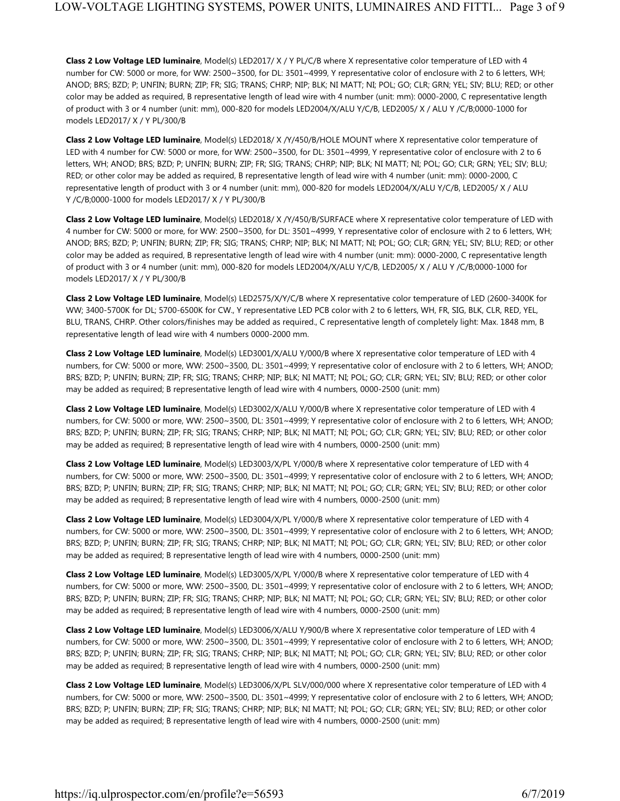**Class 2 Low Voltage LED luminaire**, Model(s) LED2017/ X / Y PL/C/B where X representative color temperature of LED with 4 number for CW: 5000 or more, for WW: 2500~3500, for DL: 3501~4999, Y representative color of enclosure with 2 to 6 letters, WH; ANOD; BRS; BZD; P; UNFIN; BURN; ZIP; FR; SIG; TRANS; CHRP; NIP; BLK; NI MATT; NI; POL; GO; CLR; GRN; YEL; SIV; BLU; RED; or other color may be added as required, B representative length of lead wire with 4 number (unit: mm): 0000-2000, C representative length of product with 3 or 4 number (unit: mm), 000-820 for models LED2004/X/ALU Y/C/B, LED2005/ X / ALU Y /C/B;0000-1000 for models LED2017/ X / Y PL/300/B

**Class 2 Low Voltage LED luminaire**, Model(s) LED2018/ X /Y/450/B/HOLE MOUNT where X representative color temperature of LED with 4 number for CW: 5000 or more, for WW: 2500~3500, for DL: 3501~4999, Y representative color of enclosure with 2 to 6 letters, WH; ANOD; BRS; BZD; P; UNFIN; BURN; ZIP; FR; SIG; TRANS; CHRP; NIP; BLK; NI MATT; NI; POL; GO; CLR; GRN; YEL; SIV; BLU; RED; or other color may be added as required, B representative length of lead wire with 4 number (unit: mm): 0000-2000, C representative length of product with 3 or 4 number (unit: mm), 000-820 for models LED2004/X/ALU Y/C/B, LED2005/ X / ALU Y /C/B;0000-1000 for models LED2017/ X / Y PL/300/B

**Class 2 Low Voltage LED luminaire**, Model(s) LED2018/ X /Y/450/B/SURFACE where X representative color temperature of LED with 4 number for CW: 5000 or more, for WW: 2500~3500, for DL: 3501~4999, Y representative color of enclosure with 2 to 6 letters, WH; ANOD; BRS; BZD; P; UNFIN; BURN; ZIP; FR; SIG; TRANS; CHRP; NIP; BLK; NI MATT; NI; POL; GO; CLR; GRN; YEL; SIV; BLU; RED; or other color may be added as required, B representative length of lead wire with 4 number (unit: mm): 0000-2000, C representative length of product with 3 or 4 number (unit: mm), 000-820 for models LED2004/X/ALU Y/C/B, LED2005/ X / ALU Y /C/B;0000-1000 for models LED2017/ X / Y PL/300/B

**Class 2 Low Voltage LED luminaire**, Model(s) LED2575/X/Y/C/B where X representative color temperature of LED (2600-3400K for WW; 3400-5700K for DL; 5700-6500K for CW., Y representative LED PCB color with 2 to 6 letters, WH, FR, SIG, BLK, CLR, RED, YEL, BLU, TRANS, CHRP. Other colors/finishes may be added as required., C representative length of completely light: Max. 1848 mm, B representative length of lead wire with 4 numbers 0000-2000 mm.

**Class 2 Low Voltage LED luminaire**, Model(s) LED3001/X/ALU Y/000/B where X representative color temperature of LED with 4 numbers, for CW: 5000 or more, WW: 2500~3500, DL: 3501~4999; Y representative color of enclosure with 2 to 6 letters, WH; ANOD; BRS; BZD; P; UNFIN; BURN; ZIP; FR; SIG; TRANS; CHRP; NIP; BLK; NI MATT; NI; POL; GO; CLR; GRN; YEL; SIV; BLU; RED; or other color may be added as required; B representative length of lead wire with 4 numbers, 0000-2500 (unit: mm)

**Class 2 Low Voltage LED luminaire**, Model(s) LED3002/X/ALU Y/000/B where X representative color temperature of LED with 4 numbers, for CW: 5000 or more, WW: 2500~3500, DL: 3501~4999; Y representative color of enclosure with 2 to 6 letters, WH; ANOD; BRS; BZD; P; UNFIN; BURN; ZIP; FR; SIG; TRANS; CHRP; NIP; BLK; NI MATT; NI; POL; GO; CLR; GRN; YEL; SIV; BLU; RED; or other color may be added as required; B representative length of lead wire with 4 numbers, 0000-2500 (unit: mm)

**Class 2 Low Voltage LED luminaire**, Model(s) LED3003/X/PL Y/000/B where X representative color temperature of LED with 4 numbers, for CW: 5000 or more, WW: 2500~3500, DL: 3501~4999; Y representative color of enclosure with 2 to 6 letters, WH; ANOD; BRS; BZD; P; UNFIN; BURN; ZIP; FR; SIG; TRANS; CHRP; NIP; BLK; NI MATT; NI; POL; GO; CLR; GRN; YEL; SIV; BLU; RED; or other color may be added as required; B representative length of lead wire with 4 numbers, 0000-2500 (unit: mm)

**Class 2 Low Voltage LED luminaire**, Model(s) LED3004/X/PL Y/000/B where X representative color temperature of LED with 4 numbers, for CW: 5000 or more, WW: 2500~3500, DL: 3501~4999; Y representative color of enclosure with 2 to 6 letters, WH; ANOD; BRS; BZD; P; UNFIN; BURN; ZIP; FR; SIG; TRANS; CHRP; NIP; BLK; NI MATT; NI; POL; GO; CLR; GRN; YEL; SIV; BLU; RED; or other color may be added as required; B representative length of lead wire with 4 numbers, 0000-2500 (unit: mm)

**Class 2 Low Voltage LED luminaire**, Model(s) LED3005/X/PL Y/000/B where X representative color temperature of LED with 4 numbers, for CW: 5000 or more, WW: 2500~3500, DL: 3501~4999; Y representative color of enclosure with 2 to 6 letters, WH; ANOD; BRS; BZD; P; UNFIN; BURN; ZIP; FR; SIG; TRANS; CHRP; NIP; BLK; NI MATT; NI; POL; GO; CLR; GRN; YEL; SIV; BLU; RED; or other color may be added as required; B representative length of lead wire with 4 numbers, 0000-2500 (unit: mm)

**Class 2 Low Voltage LED luminaire**, Model(s) LED3006/X/ALU Y/900/B where X representative color temperature of LED with 4 numbers, for CW: 5000 or more, WW: 2500~3500, DL: 3501~4999; Y representative color of enclosure with 2 to 6 letters, WH; ANOD; BRS; BZD; P; UNFIN; BURN; ZIP; FR; SIG; TRANS; CHRP; NIP; BLK; NI MATT; NI; POL; GO; CLR; GRN; YEL; SIV; BLU; RED; or other color may be added as required; B representative length of lead wire with 4 numbers, 0000-2500 (unit: mm)

**Class 2 Low Voltage LED luminaire**, Model(s) LED3006/X/PL SLV/000/000 where X representative color temperature of LED with 4 numbers, for CW: 5000 or more, WW: 2500~3500, DL: 3501~4999; Y representative color of enclosure with 2 to 6 letters, WH; ANOD; BRS; BZD; P; UNFIN; BURN; ZIP; FR; SIG; TRANS; CHRP; NIP; BLK; NI MATT; NI; POL; GO; CLR; GRN; YEL; SIV; BLU; RED; or other color may be added as required; B representative length of lead wire with 4 numbers, 0000-2500 (unit: mm)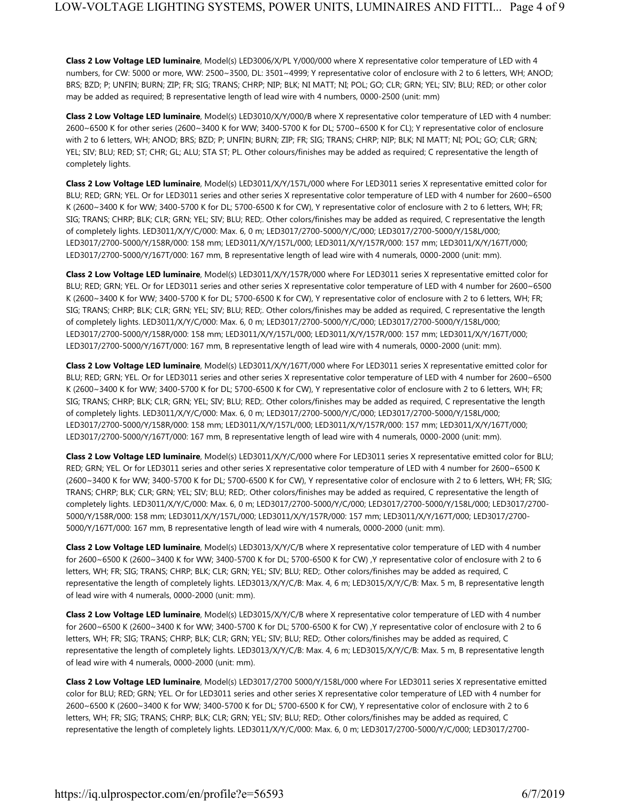**Class 2 Low Voltage LED luminaire**, Model(s) LED3006/X/PL Y/000/000 where X representative color temperature of LED with 4 numbers, for CW: 5000 or more, WW: 2500~3500, DL: 3501~4999; Y representative color of enclosure with 2 to 6 letters, WH; ANOD; BRS; BZD; P; UNFIN; BURN; ZIP; FR; SIG; TRANS; CHRP; NIP; BLK; NI MATT; NI; POL; GO; CLR; GRN; YEL; SIV; BLU; RED; or other color may be added as required; B representative length of lead wire with 4 numbers, 0000-2500 (unit: mm)

**Class 2 Low Voltage LED luminaire**, Model(s) LED3010/X/Y/000/B where X representative color temperature of LED with 4 number: 2600~6500 K for other series (2600~3400 K for WW; 3400-5700 K for DL; 5700~6500 K for CL); Y representative color of enclosure with 2 to 6 letters, WH; ANOD; BRS; BZD; P; UNFIN; BURN; ZIP; FR; SIG; TRANS; CHRP; NIP; BLK; NI MATT; NI; POL; GO; CLR; GRN; YEL; SIV; BLU; RED; ST; CHR; GL; ALU; STA ST; PL. Other colours/finishes may be added as required; C representative the length of completely lights.

**Class 2 Low Voltage LED luminaire**, Model(s) LED3011/X/Y/157L/000 where For LED3011 series X representative emitted color for BLU; RED; GRN; YEL. Or for LED3011 series and other series X representative color temperature of LED with 4 number for 2600~6500 K (2600~3400 K for WW; 3400-5700 K for DL; 5700-6500 K for CW), Y representative color of enclosure with 2 to 6 letters, WH; FR; SIG; TRANS; CHRP; BLK; CLR; GRN; YEL; SIV; BLU; RED;. Other colors/finishes may be added as required, C representative the length of completely lights. LED3011/X/Y/C/000: Max. 6, 0 m; LED3017/2700-5000/Y/C/000; LED3017/2700-5000/Y/158L/000; LED3017/2700-5000/Y/158R/000: 158 mm; LED3011/X/Y/157L/000; LED3011/X/Y/157R/000: 157 mm; LED3011/X/Y/167T/000; LED3017/2700-5000/Y/167T/000: 167 mm, B representative length of lead wire with 4 numerals, 0000-2000 (unit: mm).

**Class 2 Low Voltage LED luminaire**, Model(s) LED3011/X/Y/157R/000 where For LED3011 series X representative emitted color for BLU; RED; GRN; YEL. Or for LED3011 series and other series X representative color temperature of LED with 4 number for 2600~6500 K (2600~3400 K for WW; 3400-5700 K for DL; 5700-6500 K for CW), Y representative color of enclosure with 2 to 6 letters, WH; FR; SIG; TRANS; CHRP; BLK; CLR; GRN; YEL; SIV; BLU; RED;. Other colors/finishes may be added as required, C representative the length of completely lights. LED3011/X/Y/C/000: Max. 6, 0 m; LED3017/2700-5000/Y/C/000; LED3017/2700-5000/Y/158L/000; LED3017/2700-5000/Y/158R/000: 158 mm; LED3011/X/Y/157L/000; LED3011/X/Y/157R/000: 157 mm; LED3011/X/Y/167T/000; LED3017/2700-5000/Y/167T/000: 167 mm, B representative length of lead wire with 4 numerals, 0000-2000 (unit: mm).

**Class 2 Low Voltage LED luminaire**, Model(s) LED3011/X/Y/167T/000 where For LED3011 series X representative emitted color for BLU; RED; GRN; YEL. Or for LED3011 series and other series X representative color temperature of LED with 4 number for 2600~6500 K (2600~3400 K for WW; 3400-5700 K for DL; 5700-6500 K for CW), Y representative color of enclosure with 2 to 6 letters, WH; FR; SIG; TRANS; CHRP; BLK; CLR; GRN; YEL; SIV; BLU; RED;. Other colors/finishes may be added as required, C representative the length of completely lights. LED3011/X/Y/C/000: Max. 6, 0 m; LED3017/2700-5000/Y/C/000; LED3017/2700-5000/Y/158L/000; LED3017/2700-5000/Y/158R/000: 158 mm; LED3011/X/Y/157L/000; LED3011/X/Y/157R/000: 157 mm; LED3011/X/Y/167T/000; LED3017/2700-5000/Y/167T/000: 167 mm, B representative length of lead wire with 4 numerals, 0000-2000 (unit: mm).

**Class 2 Low Voltage LED luminaire**, Model(s) LED3011/X/Y/C/000 where For LED3011 series X representative emitted color for BLU; RED; GRN; YEL. Or for LED3011 series and other series X representative color temperature of LED with 4 number for 2600~6500 K (2600~3400 K for WW; 3400-5700 K for DL; 5700-6500 K for CW), Y representative color of enclosure with 2 to 6 letters, WH; FR; SIG; TRANS; CHRP; BLK; CLR; GRN; YEL; SIV; BLU; RED;. Other colors/finishes may be added as required, C representative the length of completely lights. LED3011/X/Y/C/000: Max. 6, 0 m; LED3017/2700-5000/Y/C/000; LED3017/2700-5000/Y/158L/000; LED3017/2700- 5000/Y/158R/000: 158 mm; LED3011/X/Y/157L/000; LED3011/X/Y/157R/000: 157 mm; LED3011/X/Y/167T/000; LED3017/2700- 5000/Y/167T/000: 167 mm, B representative length of lead wire with 4 numerals, 0000-2000 (unit: mm).

**Class 2 Low Voltage LED luminaire**, Model(s) LED3013/X/Y/C/B where X representative color temperature of LED with 4 number for 2600~6500 K (2600~3400 K for WW; 3400-5700 K for DL; 5700-6500 K for CW) ,Y representative color of enclosure with 2 to 6 letters, WH; FR; SIG; TRANS; CHRP; BLK; CLR; GRN; YEL; SIV; BLU; RED;. Other colors/finishes may be added as required, C representative the length of completely lights. LED3013/X/Y/C/B: Max. 4, 6 m; LED3015/X/Y/C/B: Max. 5 m, B representative length of lead wire with 4 numerals, 0000-2000 (unit: mm).

**Class 2 Low Voltage LED luminaire**, Model(s) LED3015/X/Y/C/B where X representative color temperature of LED with 4 number for 2600~6500 K (2600~3400 K for WW; 3400-5700 K for DL; 5700-6500 K for CW) ,Y representative color of enclosure with 2 to 6 letters, WH; FR; SIG; TRANS; CHRP; BLK; CLR; GRN; YEL; SIV; BLU; RED;. Other colors/finishes may be added as required, C representative the length of completely lights. LED3013/X/Y/C/B: Max. 4, 6 m; LED3015/X/Y/C/B: Max. 5 m, B representative length of lead wire with 4 numerals, 0000-2000 (unit: mm).

**Class 2 Low Voltage LED luminaire**, Model(s) LED3017/2700 5000/Y/158L/000 where For LED3011 series X representative emitted color for BLU; RED; GRN; YEL. Or for LED3011 series and other series X representative color temperature of LED with 4 number for 2600~6500 K (2600~3400 K for WW; 3400-5700 K for DL; 5700-6500 K for CW), Y representative color of enclosure with 2 to 6 letters, WH; FR; SIG; TRANS; CHRP; BLK; CLR; GRN; YEL; SIV; BLU; RED;. Other colors/finishes may be added as required, C representative the length of completely lights. LED3011/X/Y/C/000: Max. 6, 0 m; LED3017/2700-5000/Y/C/000; LED3017/2700-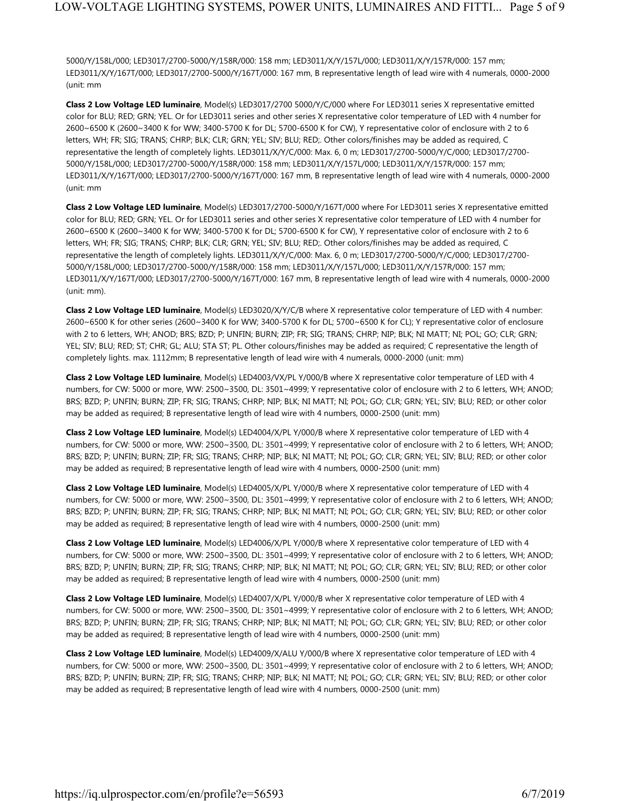5000/Y/158L/000; LED3017/2700-5000/Y/158R/000: 158 mm; LED3011/X/Y/157L/000; LED3011/X/Y/157R/000: 157 mm; LED3011/X/Y/167T/000; LED3017/2700-5000/Y/167T/000: 167 mm, B representative length of lead wire with 4 numerals, 0000-2000 (unit: mm

**Class 2 Low Voltage LED luminaire**, Model(s) LED3017/2700 5000/Y/C/000 where For LED3011 series X representative emitted color for BLU; RED; GRN; YEL. Or for LED3011 series and other series X representative color temperature of LED with 4 number for 2600~6500 K (2600~3400 K for WW; 3400-5700 K for DL; 5700-6500 K for CW), Y representative color of enclosure with 2 to 6 letters, WH; FR; SIG; TRANS; CHRP; BLK; CLR; GRN; YEL; SIV; BLU; RED;. Other colors/finishes may be added as required, C representative the length of completely lights. LED3011/X/Y/C/000: Max. 6, 0 m; LED3017/2700-5000/Y/C/000; LED3017/2700- 5000/Y/158L/000; LED3017/2700-5000/Y/158R/000: 158 mm; LED3011/X/Y/157L/000; LED3011/X/Y/157R/000: 157 mm; LED3011/X/Y/167T/000; LED3017/2700-5000/Y/167T/000: 167 mm, B representative length of lead wire with 4 numerals, 0000-2000 (unit: mm

**Class 2 Low Voltage LED luminaire**, Model(s) LED3017/2700-5000/Y/167T/000 where For LED3011 series X representative emitted color for BLU; RED; GRN; YEL. Or for LED3011 series and other series X representative color temperature of LED with 4 number for 2600~6500 K (2600~3400 K for WW; 3400-5700 K for DL; 5700-6500 K for CW), Y representative color of enclosure with 2 to 6 letters, WH; FR; SIG; TRANS; CHRP; BLK; CLR; GRN; YEL; SIV; BLU; RED;. Other colors/finishes may be added as required, C representative the length of completely lights. LED3011/X/Y/C/000: Max. 6, 0 m; LED3017/2700-5000/Y/C/000; LED3017/2700- 5000/Y/158L/000; LED3017/2700-5000/Y/158R/000: 158 mm; LED3011/X/Y/157L/000; LED3011/X/Y/157R/000: 157 mm; LED3011/X/Y/167T/000; LED3017/2700-5000/Y/167T/000: 167 mm, B representative length of lead wire with 4 numerals, 0000-2000 (unit: mm).

**Class 2 Low Voltage LED luminaire**, Model(s) LED3020/X/Y/C/B where X representative color temperature of LED with 4 number: 2600~6500 K for other series (2600~3400 K for WW; 3400-5700 K for DL; 5700~6500 K for CL); Y representative color of enclosure with 2 to 6 letters, WH; ANOD; BRS; BZD; P; UNFIN; BURN; ZIP; FR; SIG; TRANS; CHRP; NIP; BLK; NI MATT; NI; POL; GO; CLR; GRN; YEL; SIV; BLU; RED; ST; CHR; GL; ALU; STA ST; PL. Other colours/finishes may be added as required; C representative the length of completely lights. max. 1112mm; B representative length of lead wire with 4 numerals, 0000-2000 (unit: mm)

**Class 2 Low Voltage LED luminaire**, Model(s) LED4003/VX/PL Y/000/B where X representative color temperature of LED with 4 numbers, for CW: 5000 or more, WW: 2500~3500, DL: 3501~4999; Y representative color of enclosure with 2 to 6 letters, WH; ANOD; BRS; BZD; P; UNFIN; BURN; ZIP; FR; SIG; TRANS; CHRP; NIP; BLK; NI MATT; NI; POL; GO; CLR; GRN; YEL; SIV; BLU; RED; or other color may be added as required; B representative length of lead wire with 4 numbers, 0000-2500 (unit: mm)

**Class 2 Low Voltage LED luminaire**, Model(s) LED4004/X/PL Y/000/B where X representative color temperature of LED with 4 numbers, for CW: 5000 or more, WW: 2500~3500, DL: 3501~4999; Y representative color of enclosure with 2 to 6 letters, WH; ANOD; BRS; BZD; P; UNFIN; BURN; ZIP; FR; SIG; TRANS; CHRP; NIP; BLK; NI MATT; NI; POL; GO; CLR; GRN; YEL; SIV; BLU; RED; or other color may be added as required; B representative length of lead wire with 4 numbers, 0000-2500 (unit: mm)

**Class 2 Low Voltage LED luminaire**, Model(s) LED4005/X/PL Y/000/B where X representative color temperature of LED with 4 numbers, for CW: 5000 or more, WW: 2500~3500, DL: 3501~4999; Y representative color of enclosure with 2 to 6 letters, WH; ANOD; BRS; BZD; P; UNFIN; BURN; ZIP; FR; SIG; TRANS; CHRP; NIP; BLK; NI MATT; NI; POL; GO; CLR; GRN; YEL; SIV; BLU; RED; or other color may be added as required; B representative length of lead wire with 4 numbers, 0000-2500 (unit: mm)

**Class 2 Low Voltage LED luminaire**, Model(s) LED4006/X/PL Y/000/B where X representative color temperature of LED with 4 numbers, for CW: 5000 or more, WW: 2500~3500, DL: 3501~4999; Y representative color of enclosure with 2 to 6 letters, WH; ANOD; BRS; BZD; P; UNFIN; BURN; ZIP; FR; SIG; TRANS; CHRP; NIP; BLK; NI MATT; NI; POL; GO; CLR; GRN; YEL; SIV; BLU; RED; or other color may be added as required; B representative length of lead wire with 4 numbers, 0000-2500 (unit: mm)

**Class 2 Low Voltage LED luminaire**, Model(s) LED4007/X/PL Y/000/B wher X representative color temperature of LED with 4 numbers, for CW: 5000 or more, WW: 2500~3500, DL: 3501~4999; Y representative color of enclosure with 2 to 6 letters, WH; ANOD; BRS; BZD; P; UNFIN; BURN; ZIP; FR; SIG; TRANS; CHRP; NIP; BLK; NI MATT; NI; POL; GO; CLR; GRN; YEL; SIV; BLU; RED; or other color may be added as required; B representative length of lead wire with 4 numbers, 0000-2500 (unit: mm)

**Class 2 Low Voltage LED luminaire**, Model(s) LED4009/X/ALU Y/000/B where X representative color temperature of LED with 4 numbers, for CW: 5000 or more, WW: 2500~3500, DL: 3501~4999; Y representative color of enclosure with 2 to 6 letters, WH; ANOD; BRS; BZD; P; UNFIN; BURN; ZIP; FR; SIG; TRANS; CHRP; NIP; BLK; NI MATT; NI; POL; GO; CLR; GRN; YEL; SIV; BLU; RED; or other color may be added as required; B representative length of lead wire with 4 numbers, 0000-2500 (unit: mm)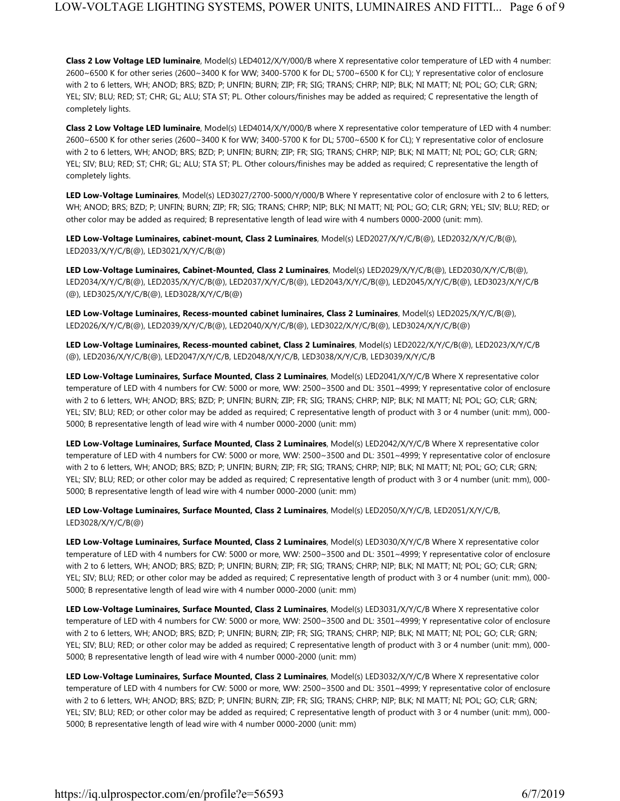**Class 2 Low Voltage LED luminaire**, Model(s) LED4012/X/Y/000/B where X representative color temperature of LED with 4 number: 2600~6500 K for other series (2600~3400 K for WW; 3400-5700 K for DL; 5700~6500 K for CL); Y representative color of enclosure with 2 to 6 letters, WH; ANOD; BRS; BZD; P; UNFIN; BURN; ZIP; FR; SIG; TRANS; CHRP; NIP; BLK; NI MATT; NI; POL; GO; CLR; GRN; YEL; SIV; BLU; RED; ST; CHR; GL; ALU; STA ST; PL. Other colours/finishes may be added as required; C representative the length of completely lights.

**Class 2 Low Voltage LED luminaire**, Model(s) LED4014/X/Y/000/B where X representative color temperature of LED with 4 number: 2600~6500 K for other series (2600~3400 K for WW; 3400-5700 K for DL; 5700~6500 K for CL); Y representative color of enclosure with 2 to 6 letters, WH; ANOD; BRS; BZD; P; UNFIN; BURN; ZIP; FR; SIG; TRANS; CHRP; NIP; BLK; NI MATT; NI; POL; GO; CLR; GRN; YEL; SIV; BLU; RED; ST; CHR; GL; ALU; STA ST; PL. Other colours/finishes may be added as required; C representative the length of completely lights.

**LED Low-Voltage Luminaires**, Model(s) LED3027/2700-5000/Y/000/B Where Y representative color of enclosure with 2 to 6 letters, WH; ANOD; BRS; BZD; P; UNFIN; BURN; ZIP; FR; SIG; TRANS; CHRP; NIP; BLK; NI MATT; NI; POL; GO; CLR; GRN; YEL; SIV; BLU; RED; or other color may be added as required; B representative length of lead wire with 4 numbers 0000-2000 (unit: mm).

**LED Low-Voltage Luminaires, cabinet-mount, Class 2 Luminaires**, Model(s) LED2027/X/Y/C/B(@), LED2032/X/Y/C/B(@), LED2033/X/Y/C/B(@), LED3021/X/Y/C/B(@)

**LED Low-Voltage Luminaires, Cabinet-Mounted, Class 2 Luminaires**, Model(s) LED2029/X/Y/C/B(@), LED2030/X/Y/C/B(@), LED2034/X/Y/C/B(@), LED2035/X/Y/C/B(@), LED2037/X/Y/C/B(@), LED2043/X/Y/C/B(@), LED2045/X/Y/C/B(@), LED3023/X/Y/C/B (@), LED3025/X/Y/C/B(@), LED3028/X/Y/C/B(@)

**LED Low-Voltage Luminaires, Recess-mounted cabinet luminaires, Class 2 Luminaires**, Model(s) LED2025/X/Y/C/B(@), LED2026/X/Y/C/B(@), LED2039/X/Y/C/B(@), LED2040/X/Y/C/B(@), LED3022/X/Y/C/B(@), LED3024/X/Y/C/B(@)

**LED Low-Voltage Luminaires, Recess-mounted cabinet, Class 2 Luminaires**, Model(s) LED2022/X/Y/C/B(@), LED2023/X/Y/C/B (@), LED2036/X/Y/C/B(@), LED2047/X/Y/C/B, LED2048/X/Y/C/B, LED3038/X/Y/C/B, LED3039/X/Y/C/B

**LED Low-Voltage Luminaires, Surface Mounted, Class 2 Luminaires**, Model(s) LED2041/X/Y/C/B Where X representative color temperature of LED with 4 numbers for CW: 5000 or more, WW: 2500~3500 and DL: 3501~4999; Y representative color of enclosure with 2 to 6 letters, WH; ANOD; BRS; BZD; P; UNFIN; BURN; ZIP; FR; SIG; TRANS; CHRP; NIP; BLK; NI MATT; NI; POL; GO; CLR; GRN; YEL; SIV; BLU; RED; or other color may be added as required; C representative length of product with 3 or 4 number (unit: mm), 000- 5000; B representative length of lead wire with 4 number 0000-2000 (unit: mm)

**LED Low-Voltage Luminaires, Surface Mounted, Class 2 Luminaires**, Model(s) LED2042/X/Y/C/B Where X representative color temperature of LED with 4 numbers for CW: 5000 or more, WW: 2500~3500 and DL: 3501~4999; Y representative color of enclosure with 2 to 6 letters, WH; ANOD; BRS; BZD; P; UNFIN; BURN; ZIP; FR; SIG; TRANS; CHRP; NIP; BLK; NI MATT; NI; POL; GO; CLR; GRN; YEL; SIV; BLU; RED; or other color may be added as required; C representative length of product with 3 or 4 number (unit: mm), 000- 5000; B representative length of lead wire with 4 number 0000-2000 (unit: mm)

**LED Low-Voltage Luminaires, Surface Mounted, Class 2 Luminaires**, Model(s) LED2050/X/Y/C/B, LED2051/X/Y/C/B, LED3028/X/Y/C/B(@)

**LED Low-Voltage Luminaires, Surface Mounted, Class 2 Luminaires**, Model(s) LED3030/X/Y/C/B Where X representative color temperature of LED with 4 numbers for CW: 5000 or more, WW: 2500~3500 and DL: 3501~4999; Y representative color of enclosure with 2 to 6 letters, WH; ANOD; BRS; BZD; P; UNFIN; BURN; ZIP; FR; SIG; TRANS; CHRP; NIP; BLK; NI MATT; NI; POL; GO; CLR; GRN; YEL; SIV; BLU; RED; or other color may be added as required; C representative length of product with 3 or 4 number (unit: mm), 000- 5000; B representative length of lead wire with 4 number 0000-2000 (unit: mm)

**LED Low-Voltage Luminaires, Surface Mounted, Class 2 Luminaires**, Model(s) LED3031/X/Y/C/B Where X representative color temperature of LED with 4 numbers for CW: 5000 or more, WW: 2500~3500 and DL: 3501~4999; Y representative color of enclosure with 2 to 6 letters, WH; ANOD; BRS; BZD; P; UNFIN; BURN; ZIP; FR; SIG; TRANS; CHRP; NIP; BLK; NI MATT; NI; POL; GO; CLR; GRN; YEL; SIV; BLU; RED; or other color may be added as required; C representative length of product with 3 or 4 number (unit: mm), 000- 5000; B representative length of lead wire with 4 number 0000-2000 (unit: mm)

**LED Low-Voltage Luminaires, Surface Mounted, Class 2 Luminaires**, Model(s) LED3032/X/Y/C/B Where X representative color temperature of LED with 4 numbers for CW: 5000 or more, WW: 2500~3500 and DL: 3501~4999; Y representative color of enclosure with 2 to 6 letters, WH; ANOD; BRS; BZD; P; UNFIN; BURN; ZIP; FR; SIG; TRANS; CHRP; NIP; BLK; NI MATT; NI; POL; GO; CLR; GRN; YEL; SIV; BLU; RED; or other color may be added as required; C representative length of product with 3 or 4 number (unit: mm), 000- 5000; B representative length of lead wire with 4 number 0000-2000 (unit: mm)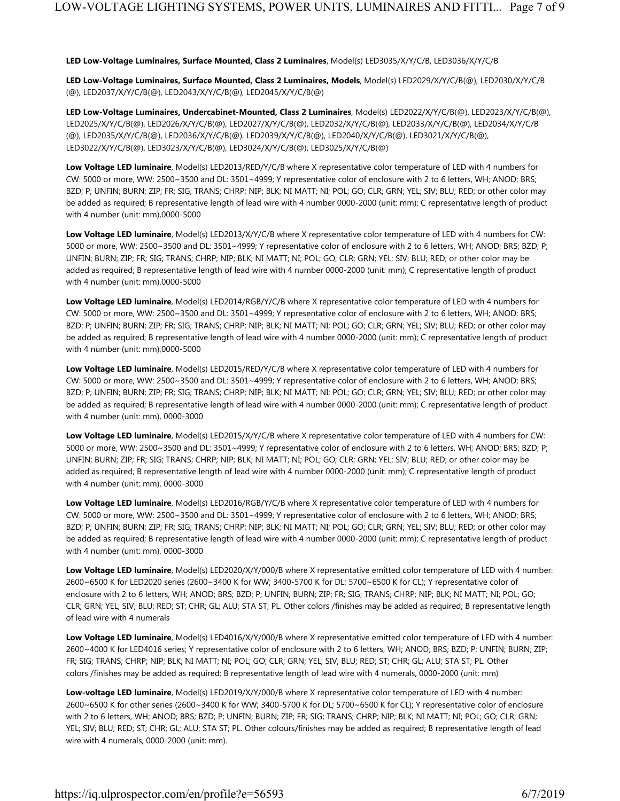#### **LED Low-Voltage Luminaires, Surface Mounted, Class 2 Luminaires**, Model(s) LED3035/X/Y/C/B, LED3036/X/Y/C/B

**LED Low-Voltage Luminaires, Surface Mounted, Class 2 Luminaires, Models**, Model(s) LED2029/X/Y/C/B(@), LED2030/X/Y/C/B (@), LED2037/X/Y/C/B(@), LED2043/X/Y/C/B(@), LED2045/X/Y/C/B(@)

**LED Low-Voltage Luminaires, Undercabinet-Mounted, Class 2 Luminaires**, Model(s) LED2022/X/Y/C/B(@), LED2023/X/Y/C/B(@), LED2025/X/Y/C/B(@), LED2026/X/Y/C/B(@), LED2027/X/Y/C/B(@), LED2032/X/Y/C/B(@), LED2033/X/Y/C/B(@), LED2034/X/Y/C/B (@), LED2035/X/Y/C/B(@), LED2036/X/Y/C/B(@), LED2039/X/Y/C/B(@), LED2040/X/Y/C/B(@), LED3021/X/Y/C/B(@), LED3022/X/Y/C/B(@), LED3023/X/Y/C/B(@), LED3024/X/Y/C/B(@), LED3025/X/Y/C/B(@)

**Low Voltage LED luminaire**, Model(s) LED2013/RED/Y/C/B where X representative color temperature of LED with 4 numbers for CW: 5000 or more, WW: 2500~3500 and DL: 3501~4999; Y representative color of enclosure with 2 to 6 letters, WH; ANOD; BRS; BZD; P; UNFIN; BURN; ZIP; FR; SIG; TRANS; CHRP; NIP; BLK; NI MATT; NI; POL; GO; CLR; GRN; YEL; SIV; BLU; RED; or other color may be added as required; B representative length of lead wire with 4 number 0000-2000 (unit: mm); C representative length of product with 4 number (unit: mm),0000-5000

**Low Voltage LED luminaire**, Model(s) LED2013/X/Y/C/B where X representative color temperature of LED with 4 numbers for CW: 5000 or more, WW: 2500~3500 and DL: 3501~4999; Y representative color of enclosure with 2 to 6 letters, WH; ANOD; BRS; BZD; P; UNFIN; BURN; ZIP; FR; SIG; TRANS; CHRP; NIP; BLK; NI MATT; NI; POL; GO; CLR; GRN; YEL; SIV; BLU; RED; or other color may be added as required; B representative length of lead wire with 4 number 0000-2000 (unit: mm); C representative length of product with 4 number (unit: mm),0000-5000

**Low Voltage LED luminaire**, Model(s) LED2014/RGB/Y/C/B where X representative color temperature of LED with 4 numbers for CW: 5000 or more, WW: 2500~3500 and DL: 3501~4999; Y representative color of enclosure with 2 to 6 letters, WH; ANOD; BRS; BZD; P; UNFIN; BURN; ZIP; FR; SIG; TRANS; CHRP; NIP; BLK; NI MATT; NI; POL; GO; CLR; GRN; YEL; SIV; BLU; RED; or other color may be added as required; B representative length of lead wire with 4 number 0000-2000 (unit: mm); C representative length of product with 4 number (unit: mm),0000-5000

**Low Voltage LED luminaire**, Model(s) LED2015/RED/Y/C/B where X representative color temperature of LED with 4 numbers for CW: 5000 or more, WW: 2500~3500 and DL: 3501~4999; Y representative color of enclosure with 2 to 6 letters, WH; ANOD; BRS; BZD; P; UNFIN; BURN; ZIP; FR; SIG; TRANS; CHRP; NIP; BLK; NI MATT; NI; POL; GO; CLR; GRN; YEL; SIV; BLU; RED; or other color may be added as required; B representative length of lead wire with 4 number 0000-2000 (unit: mm); C representative length of product with 4 number (unit: mm), 0000-3000

**Low Voltage LED luminaire**, Model(s) LED2015/X/Y/C/B where X representative color temperature of LED with 4 numbers for CW: 5000 or more, WW: 2500~3500 and DL: 3501~4999; Y representative color of enclosure with 2 to 6 letters, WH; ANOD; BRS; BZD; P; UNFIN; BURN; ZIP; FR; SIG; TRANS; CHRP; NIP; BLK; NI MATT; NI; POL; GO; CLR; GRN; YEL; SIV; BLU; RED; or other color may be added as required; B representative length of lead wire with 4 number 0000-2000 (unit: mm); C representative length of product with 4 number (unit: mm), 0000-3000

**Low Voltage LED luminaire**, Model(s) LED2016/RGB/Y/C/B where X representative color temperature of LED with 4 numbers for CW: 5000 or more, WW: 2500~3500 and DL: 3501~4999; Y representative color of enclosure with 2 to 6 letters, WH; ANOD; BRS; BZD; P; UNFIN; BURN; ZIP; FR; SIG; TRANS; CHRP; NIP; BLK; NI MATT; NI; POL; GO; CLR; GRN; YEL; SIV; BLU; RED; or other color may be added as required; B representative length of lead wire with 4 number 0000-2000 (unit: mm); C representative length of product with 4 number (unit: mm), 0000-3000

**Low Voltage LED luminaire**, Model(s) LED2020/X/Y/000/B where X representative emitted color temperature of LED with 4 number: 2600~6500 K for LED2020 series (2600~3400 K for WW; 3400-5700 K for DL; 5700~6500 K for CL); Y representative color of enclosure with 2 to 6 letters, WH; ANOD; BRS; BZD; P; UNFIN; BURN; ZIP; FR; SIG; TRANS; CHRP; NIP; BLK; NI MATT; NI; POL; GO; CLR; GRN; YEL; SIV; BLU; RED; ST; CHR; GL; ALU; STA ST; PL. Other colors /finishes may be added as required; B representative length of lead wire with 4 numerals

**Low Voltage LED luminaire**, Model(s) LED4016/X/Y/000/B where X representative emitted color temperature of LED with 4 number: 2600~4000 K for LED4016 series; Y representative color of enclosure with 2 to 6 letters, WH; ANOD; BRS; BZD; P; UNFIN; BURN; ZIP; FR; SIG; TRANS; CHRP; NIP; BLK; NI MATT; NI; POL; GO; CLR; GRN; YEL; SIV; BLU; RED; ST; CHR; GL; ALU; STA ST; PL. Other colors /finishes may be added as required; B representative length of lead wire with 4 numerals, 0000-2000 (unit: mm)

**Low-voltage LED luminaire**, Model(s) LED2019/X/Y/000/B where X representative color temperature of LED with 4 number: 2600~6500 K for other series (2600~3400 K for WW; 3400-5700 K for DL; 5700~6500 K for CL); Y representative color of enclosure with 2 to 6 letters, WH; ANOD; BRS; BZD; P; UNFIN; BURN; ZIP; FR; SIG; TRANS; CHRP; NIP; BLK; NI MATT; NI; POL; GO; CLR; GRN; YEL; SIV; BLU; RED; ST; CHR; GL; ALU; STA ST; PL. Other colours/finishes may be added as required; B representative length of lead wire with 4 numerals, 0000-2000 (unit: mm).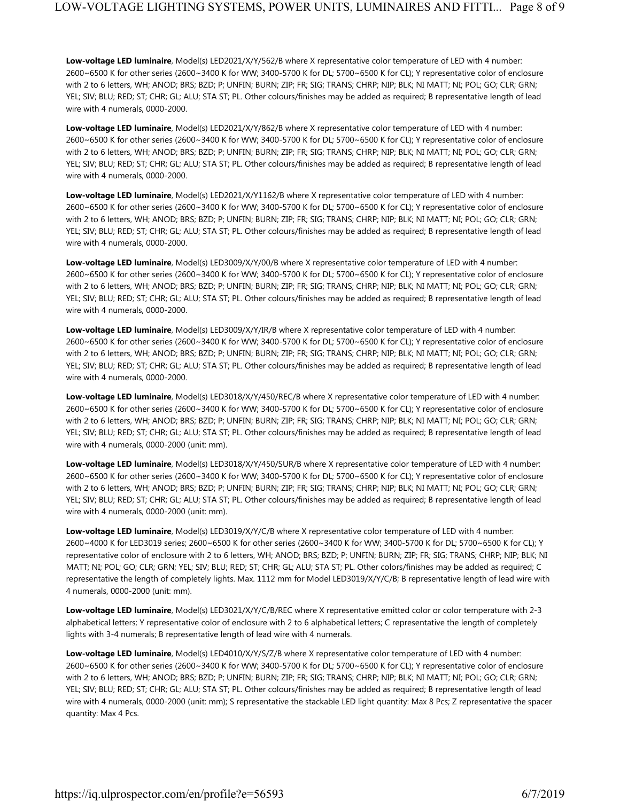**Low-voltage LED luminaire**, Model(s) LED2021/X/Y/562/B where X representative color temperature of LED with 4 number: 2600~6500 K for other series (2600~3400 K for WW; 3400-5700 K for DL; 5700~6500 K for CL); Y representative color of enclosure with 2 to 6 letters, WH; ANOD; BRS; BZD; P; UNFIN; BURN; ZIP; FR; SIG; TRANS; CHRP; NIP; BLK; NI MATT; NI; POL; GO; CLR; GRN; YEL; SIV; BLU; RED; ST; CHR; GL; ALU; STA ST; PL. Other colours/finishes may be added as required; B representative length of lead wire with 4 numerals, 0000-2000.

**Low-voltage LED luminaire**, Model(s) LED2021/X/Y/862/B where X representative color temperature of LED with 4 number: 2600~6500 K for other series (2600~3400 K for WW; 3400-5700 K for DL; 5700~6500 K for CL); Y representative color of enclosure with 2 to 6 letters, WH; ANOD; BRS; BZD; P; UNFIN; BURN; ZIP; FR; SIG; TRANS; CHRP; NIP; BLK; NI MATT; NI; POL; GO; CLR; GRN; YEL; SIV; BLU; RED; ST; CHR; GL; ALU; STA ST; PL. Other colours/finishes may be added as required; B representative length of lead wire with 4 numerals, 0000-2000.

**Low-voltage LED luminaire**, Model(s) LED2021/X/Y1162/B where X representative color temperature of LED with 4 number: 2600~6500 K for other series (2600~3400 K for WW; 3400-5700 K for DL; 5700~6500 K for CL); Y representative color of enclosure with 2 to 6 letters, WH; ANOD; BRS; BZD; P; UNFIN; BURN; ZIP; FR; SIG; TRANS; CHRP; NIP; BLK; NI MATT; NI; POL; GO; CLR; GRN; YEL; SIV; BLU; RED; ST; CHR; GL; ALU; STA ST; PL. Other colours/finishes may be added as required; B representative length of lead wire with 4 numerals, 0000-2000.

**Low-voltage LED luminaire**, Model(s) LED3009/X/Y/00/B where X representative color temperature of LED with 4 number: 2600~6500 K for other series (2600~3400 K for WW; 3400-5700 K for DL; 5700~6500 K for CL); Y representative color of enclosure with 2 to 6 letters, WH; ANOD; BRS; BZD; P; UNFIN; BURN; ZIP; FR; SIG; TRANS; CHRP; NIP; BLK; NI MATT; NI; POL; GO; CLR; GRN; YEL; SIV; BLU; RED; ST; CHR; GL; ALU; STA ST; PL. Other colours/finishes may be added as required; B representative length of lead wire with 4 numerals, 0000-2000.

**Low-voltage LED luminaire**, Model(s) LED3009/X/Y/IR/B where X representative color temperature of LED with 4 number: 2600~6500 K for other series (2600~3400 K for WW; 3400-5700 K for DL; 5700~6500 K for CL); Y representative color of enclosure with 2 to 6 letters, WH; ANOD; BRS; BZD; P; UNFIN; BURN; ZIP; FR; SIG; TRANS; CHRP; NIP; BLK; NI MATT; NI; POL; GO; CLR; GRN; YEL; SIV; BLU; RED; ST; CHR; GL; ALU; STA ST; PL. Other colours/finishes may be added as required; B representative length of lead wire with 4 numerals, 0000-2000.

**Low-voltage LED luminaire**, Model(s) LED3018/X/Y/450/REC/B where X representative color temperature of LED with 4 number: 2600~6500 K for other series (2600~3400 K for WW; 3400-5700 K for DL; 5700~6500 K for CL); Y representative color of enclosure with 2 to 6 letters, WH; ANOD; BRS; BZD; P; UNFIN; BURN; ZIP; FR; SIG; TRANS; CHRP; NIP; BLK; NI MATT; NI; POL; GO; CLR; GRN; YEL; SIV; BLU; RED; ST; CHR; GL; ALU; STA ST; PL. Other colours/finishes may be added as required; B representative length of lead wire with 4 numerals, 0000-2000 (unit: mm).

**Low-voltage LED luminaire**, Model(s) LED3018/X/Y/450/SUR/B where X representative color temperature of LED with 4 number: 2600~6500 K for other series (2600~3400 K for WW; 3400-5700 K for DL; 5700~6500 K for CL); Y representative color of enclosure with 2 to 6 letters, WH; ANOD; BRS; BZD; P; UNFIN; BURN; ZIP; FR; SIG; TRANS; CHRP; NIP; BLK; NI MATT; NI; POL; GO; CLR; GRN; YEL; SIV; BLU; RED; ST; CHR; GL; ALU; STA ST; PL. Other colours/finishes may be added as required; B representative length of lead wire with 4 numerals, 0000-2000 (unit: mm).

**Low-voltage LED luminaire**, Model(s) LED3019/X/Y/C/B where X representative color temperature of LED with 4 number: 2600~4000 K for LED3019 series; 2600~6500 K for other series (2600~3400 K for WW; 3400-5700 K for DL; 5700~6500 K for CL); Y representative color of enclosure with 2 to 6 letters, WH; ANOD; BRS; BZD; P; UNFIN; BURN; ZIP; FR; SIG; TRANS; CHRP; NIP; BLK; NI MATT; NI; POL; GO; CLR; GRN; YEL; SIV; BLU; RED; ST; CHR; GL; ALU; STA ST; PL. Other colors/finishes may be added as required; C representative the length of completely lights. Max. 1112 mm for Model LED3019/X/Y/C/B; B representative length of lead wire with 4 numerals, 0000-2000 (unit: mm).

**Low-voltage LED luminaire**, Model(s) LED3021/X/Y/C/B/REC where X representative emitted color or color temperature with 2-3 alphabetical letters; Y representative color of enclosure with 2 to 6 alphabetical letters; C representative the length of completely lights with 3-4 numerals; B representative length of lead wire with 4 numerals.

**Low-voltage LED luminaire**, Model(s) LED4010/X/Y/S/Z/B where X representative color temperature of LED with 4 number: 2600~6500 K for other series (2600~3400 K for WW; 3400-5700 K for DL; 5700~6500 K for CL); Y representative color of enclosure with 2 to 6 letters, WH; ANOD; BRS; BZD; P; UNFIN; BURN; ZIP; FR; SIG; TRANS; CHRP; NIP; BLK; NI MATT; NI; POL; GO; CLR; GRN; YEL; SIV; BLU; RED; ST; CHR; GL; ALU; STA ST; PL. Other colours/finishes may be added as required; B representative length of lead wire with 4 numerals, 0000-2000 (unit: mm); S representative the stackable LED light quantity: Max 8 Pcs; Z representative the spacer quantity: Max 4 Pcs.